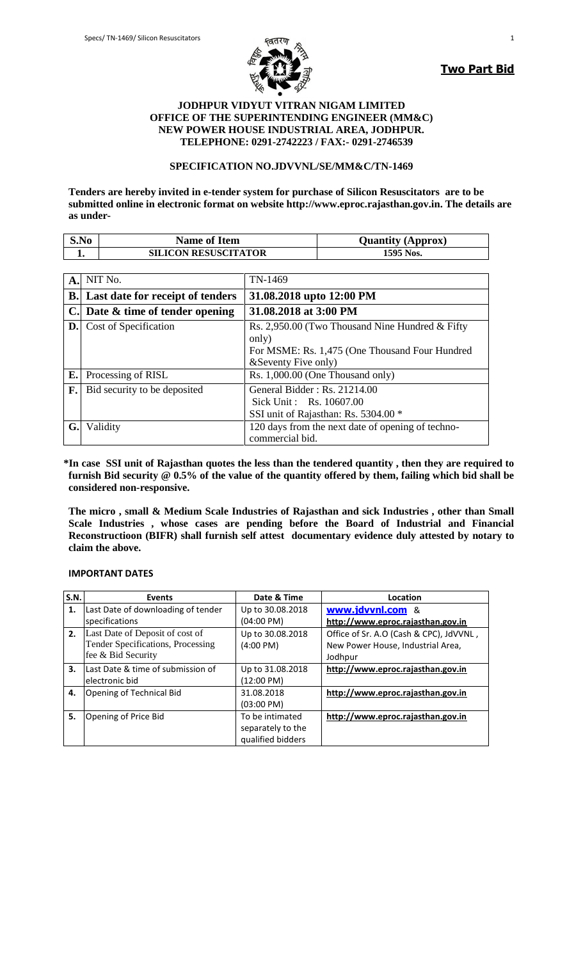

**Two Part Bid**

### **JODHPUR VIDYUT VITRAN NIGAM LIMITED OFFICE OF THE SUPERINTENDING ENGINEER (MM&C) NEW POWER HOUSE INDUSTRIAL AREA, JODHPUR. TELEPHONE: 0291-2742223 / FAX:- 0291-2746539**

### **SPECIFICATION NO.JDVVNL/SE/MM&C/TN-1469**

**Tenders are hereby invited in e-tender system for purchase of Silicon Resuscitators are to be submitted online in electronic format on website http://www.eproc.rajasthan.gov.in. The details are as under-**

| S.No | <b>Name of Item</b>         | <b>Quantity (Approx)</b> |
|------|-----------------------------|--------------------------|
|      | <b>SILICON RESUSCITATOR</b> | 1595 Nos.                |

| A.             | NIT No.                          | TN-1469                                                                                           |
|----------------|----------------------------------|---------------------------------------------------------------------------------------------------|
| $\mathbf{B}$ . | Last date for receipt of tenders | 31.08.2018 upto 12:00 PM                                                                          |
| $\mathbf{C}$   | Date & time of tender opening    | 31.08.2018 at 3:00 PM                                                                             |
|                | <b>D.</b> Cost of Specification  | Rs. 2,950.00 (Two Thousand Nine Hundred & Fifty)<br>only)                                         |
|                |                                  | For MSME: Rs. 1,475 (One Thousand Four Hundred<br>& Seventy Five only)                            |
| $E_{\bullet}$  | Processing of RISL               | Rs. $1,000.00$ (One Thousand only)                                                                |
| F.             | Bid security to be deposited     | General Bidder: $Rs. 21214.00$<br>Sick Unit: Rs. 10607.00<br>SSI unit of Rajasthan: Rs. 5304.00 * |
| G.             | Validity                         | 120 days from the next date of opening of techno-<br>commercial bid.                              |

 **\*In case SSI unit of Rajasthan quotes the less than the tendered quantity , then they are required to furnish Bid security @ 0.5% of the value of the quantity offered by them, failing which bid shall be considered non-responsive.**

**The micro , small & Medium Scale Industries of Rajasthan and sick Industries , other than Small Scale Industries , whose cases are pending before the Board of Industrial and Financial Reconstructioon (BIFR) shall furnish self attest documentary evidence duly attested by notary to claim the above.**

#### **IMPORTANT DATES**

| <b>S.N.</b> | <b>Events</b>                      | Date & Time          | Location                                |
|-------------|------------------------------------|----------------------|-----------------------------------------|
| 1.          | Last Date of downloading of tender | Up to 30.08.2018     | www.jdvvnl.com &                        |
|             | specifications                     | $(04:00 \text{ PM})$ | http://www.eproc.rajasthan.gov.in       |
| 2.          | Last Date of Deposit of cost of    | Up to 30.08.2018     | Office of Sr. A.O (Cash & CPC), JdVVNL, |
|             | Tender Specifications, Processing  | $(4:00 \text{ PM})$  | New Power House, Industrial Area,       |
|             | fee & Bid Security                 |                      | Jodhpur                                 |
| 3.          | Last Date & time of submission of  | Up to 31.08.2018     | http://www.eproc.rajasthan.gov.in       |
|             | electronic bid                     | (12:00 PM)           |                                         |
| 4.          | Opening of Technical Bid           | 31.08.2018           | http://www.eproc.rajasthan.gov.in       |
|             |                                    | $(03:00 \text{ PM})$ |                                         |
| 5.          | Opening of Price Bid               | To be intimated      | http://www.eproc.rajasthan.gov.in       |
|             |                                    | separately to the    |                                         |
|             |                                    | qualified bidders    |                                         |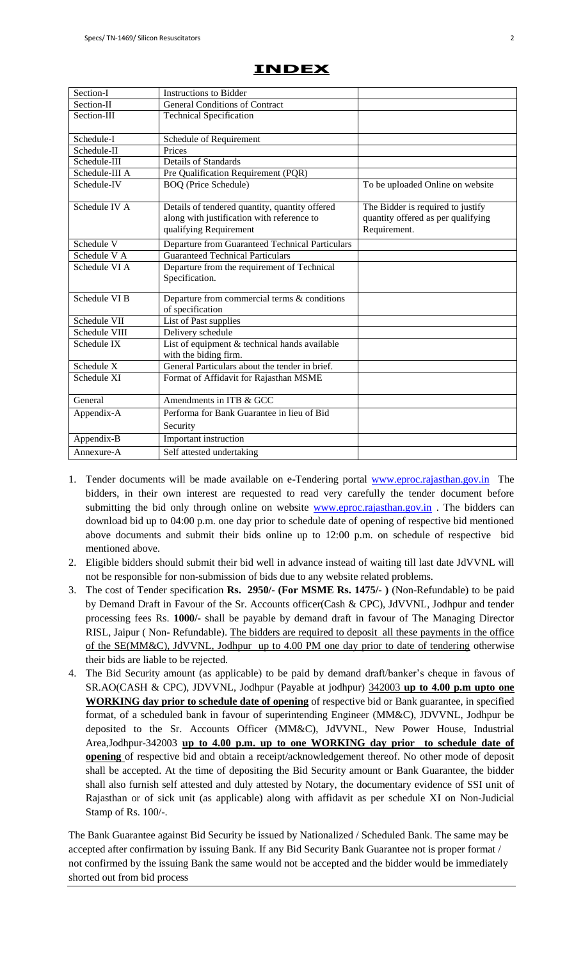| Section-I      | <b>Instructions to Bidder</b>                                                                                          |                                                                                         |
|----------------|------------------------------------------------------------------------------------------------------------------------|-----------------------------------------------------------------------------------------|
| Section-II     | <b>General Conditions of Contract</b>                                                                                  |                                                                                         |
| Section-III    | <b>Technical Specification</b>                                                                                         |                                                                                         |
| Schedule-I     | Schedule of Requirement                                                                                                |                                                                                         |
| Schedule-II    | Prices                                                                                                                 |                                                                                         |
| Schedule-III   | <b>Details of Standards</b>                                                                                            |                                                                                         |
| Schedule-III A | Pre Qualification Requirement (PQR)                                                                                    |                                                                                         |
| Schedule-IV    | <b>BOQ</b> (Price Schedule)                                                                                            | To be uploaded Online on website                                                        |
| Schedule IV A  | Details of tendered quantity, quantity offered<br>along with justification with reference to<br>qualifying Requirement | The Bidder is required to justify<br>quantity offered as per qualifying<br>Requirement. |
| Schedule V     | <b>Departure from Guaranteed Technical Particulars</b>                                                                 |                                                                                         |
| Schedule V A   | <b>Guaranteed Technical Particulars</b>                                                                                |                                                                                         |
| Schedule VI A  | Departure from the requirement of Technical<br>Specification.                                                          |                                                                                         |
| Schedule VI B  | Departure from commercial terms & conditions<br>of specification                                                       |                                                                                         |
| Schedule VII   | List of Past supplies                                                                                                  |                                                                                         |
| Schedule VIII  | Delivery schedule                                                                                                      |                                                                                         |
| Schedule IX    | List of equipment & technical hands available<br>with the biding firm.                                                 |                                                                                         |
| Schedule X     | General Particulars about the tender in brief.                                                                         |                                                                                         |
| Schedule XI    | Format of Affidavit for Rajasthan MSME                                                                                 |                                                                                         |
| General        | Amendments in ITB & GCC                                                                                                |                                                                                         |
| Appendix-A     | Performa for Bank Guarantee in lieu of Bid                                                                             |                                                                                         |
|                | Security                                                                                                               |                                                                                         |
| Appendix-B     | Important instruction                                                                                                  |                                                                                         |
| Annexure-A     | Self attested undertaking                                                                                              |                                                                                         |

## **INDEX**

- 1. Tender documents will be made available on e-Tendering portal [www.eproc.rajasthan.gov.in](http://www.eproc.rajasthan.gov.in/) The bidders, in their own interest are requested to read very carefully the tender document before submitting the bid only through online on website [www.eproc.rajasthan.gov.in](http://www.eproc.rajasthan.gov.in/). The bidders can download bid up to 04:00 p.m. one day prior to schedule date of opening of respective bid mentioned above documents and submit their bids online up to 12:00 p.m. on schedule of respective bid mentioned above.
- 2. Eligible bidders should submit their bid well in advance instead of waiting till last date JdVVNL will not be responsible for non-submission of bids due to any website related problems.
- 3. The cost of Tender specification **Rs. 2950/- (For MSME Rs. 1475/- )** (Non-Refundable) to be paid by Demand Draft in Favour of the Sr. Accounts officer(Cash & CPC), JdVVNL, Jodhpur and tender processing fees Rs. **1000/-** shall be payable by demand draft in favour of The Managing Director RISL, Jaipur (Non-Refundable). The bidders are required to deposit all these payments in the office of the SE(MM&C), JdVVNL, Jodhpur up to 4.00 PM one day prior to date of tendering otherwise their bids are liable to be rejected.
- 4. The Bid Security amount (as applicable) to be paid by demand draft/banker"s cheque in favous of SR.AO(CASH & CPC), JDVVNL, Jodhpur (Payable at jodhpur) 342003 **up to 4.00 p.m upto one WORKING day prior to schedule date of opening** of respective bid or Bank guarantee, in specified format, of a scheduled bank in favour of superintending Engineer (MM&C), JDVVNL, Jodhpur be deposited to the Sr. Accounts Officer (MM&C), JdVVNL, New Power House, Industrial Area,Jodhpur-342003 **up to 4.00 p.m. up to one WORKING day prior to schedule date of opening** of respective bid and obtain a receipt/acknowledgement thereof. No other mode of deposit shall be accepted. At the time of depositing the Bid Security amount or Bank Guarantee, the bidder shall also furnish self attested and duly attested by Notary, the documentary evidence of SSI unit of Rajasthan or of sick unit (as applicable) along with affidavit as per schedule XI on Non-Judicial Stamp of Rs. 100/-.

The Bank Guarantee against Bid Security be issued by Nationalized / Scheduled Bank. The same may be accepted after confirmation by issuing Bank. If any Bid Security Bank Guarantee not is proper format / not confirmed by the issuing Bank the same would not be accepted and the bidder would be immediately shorted out from bid process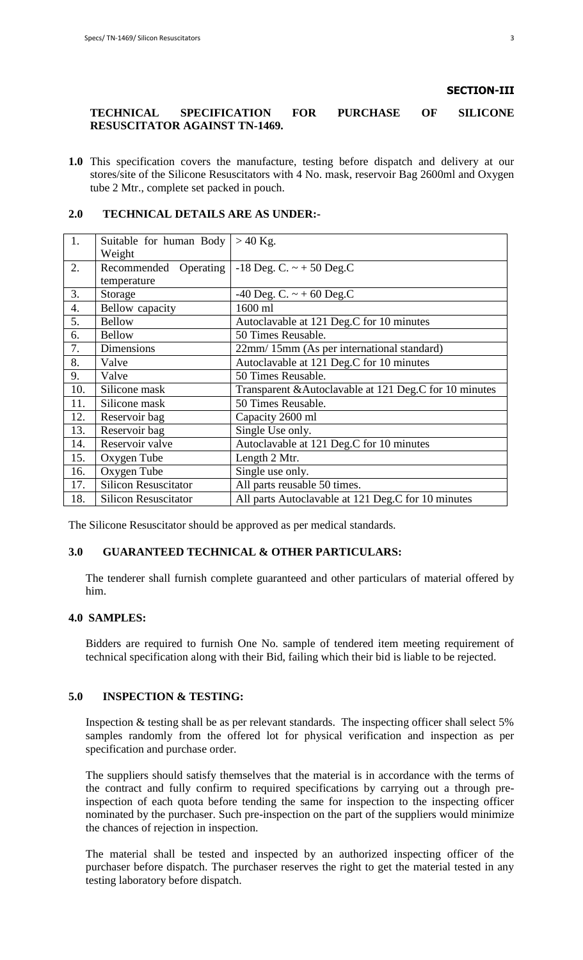### **SECTION-III**

### **TECHNICAL SPECIFICATION FOR PURCHASE OF SILICONE RESUSCITATOR AGAINST TN-1469.**

**1.0** This specification covers the manufacture, testing before dispatch and delivery at our stores/site of the Silicone Resuscitators with 4 No. mask, reservoir Bag 2600ml and Oxygen tube 2 Mtr., complete set packed in pouch.

### **2.0 TECHNICAL DETAILS ARE AS UNDER:-**

| 1.  | Suitable for human Body     | $>40$ Kg.                                              |
|-----|-----------------------------|--------------------------------------------------------|
|     | Weight                      |                                                        |
| 2.  | Recommended                 | Operating   -18 Deg. C. $\sim$ + 50 Deg. C             |
|     | temperature                 |                                                        |
| 3.  | Storage                     | -40 Deg. C. $\sim$ +60 Deg. C                          |
| 4.  | Bellow capacity             | 1600 ml                                                |
| 5.  | <b>Bellow</b>               | Autoclavable at 121 Deg.C for 10 minutes               |
| 6.  | <b>Bellow</b>               | 50 Times Reusable.                                     |
| 7.  | Dimensions                  | 22mm/15mm (As per international standard)              |
| 8.  | Valve                       | Autoclavable at 121 Deg.C for 10 minutes               |
| 9.  | Valve                       | 50 Times Reusable.                                     |
| 10. | Silicone mask               | Transparent & Autoclavable at 121 Deg.C for 10 minutes |
| 11. | Silicone mask               | 50 Times Reusable.                                     |
| 12. | Reservoir bag               | Capacity 2600 ml                                       |
| 13. | Reservoir bag               | Single Use only.                                       |
| 14. | Reservoir valve             | Autoclavable at 121 Deg.C for 10 minutes               |
| 15. | Oxygen Tube                 | Length 2 Mtr.                                          |
| 16. | Oxygen Tube                 | Single use only.                                       |
| 17. | <b>Silicon Resuscitator</b> | All parts reusable 50 times.                           |
| 18. | <b>Silicon Resuscitator</b> | All parts Autoclavable at 121 Deg.C for 10 minutes     |

The Silicone Resuscitator should be approved as per medical standards.

## **3.0 GUARANTEED TECHNICAL & OTHER PARTICULARS:**

The tenderer shall furnish complete guaranteed and other particulars of material offered by him.

### **4.0 SAMPLES:**

Bidders are required to furnish One No. sample of tendered item meeting requirement of technical specification along with their Bid, failing which their bid is liable to be rejected.

### **5.0 INSPECTION & TESTING:**

Inspection & testing shall be as per relevant standards. The inspecting officer shall select 5% samples randomly from the offered lot for physical verification and inspection as per specification and purchase order.

The suppliers should satisfy themselves that the material is in accordance with the terms of the contract and fully confirm to required specifications by carrying out a through preinspection of each quota before tending the same for inspection to the inspecting officer nominated by the purchaser. Such pre-inspection on the part of the suppliers would minimize the chances of rejection in inspection.

The material shall be tested and inspected by an authorized inspecting officer of the purchaser before dispatch. The purchaser reserves the right to get the material tested in any testing laboratory before dispatch.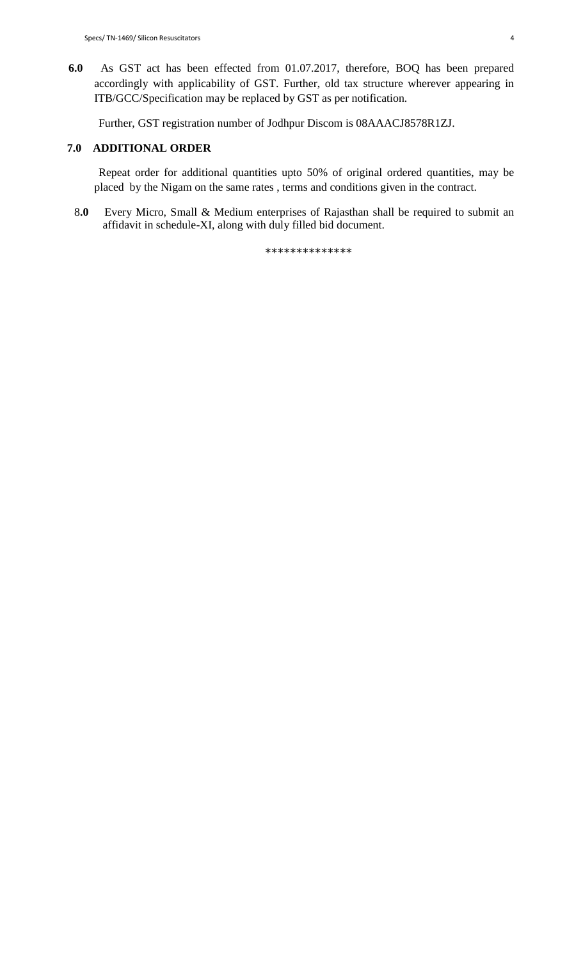**6.0** As GST act has been effected from 01.07.2017, therefore, BOQ has been prepared accordingly with applicability of GST. Further, old tax structure wherever appearing in ITB/GCC/Specification may be replaced by GST as per notification.

Further, GST registration number of Jodhpur Discom is 08AAACJ8578R1ZJ.

## **7.0 ADDITIONAL ORDER**

 Repeat order for additional quantities upto 50% of original ordered quantities, may be placed by the Nigam on the same rates , terms and conditions given in the contract.

 8**.0** Every Micro, Small & Medium enterprises of Rajasthan shall be required to submit an affidavit in schedule-XI, along with duly filled bid document.

\*\*\*\*\*\*\*\*\*\*\*\*\*\*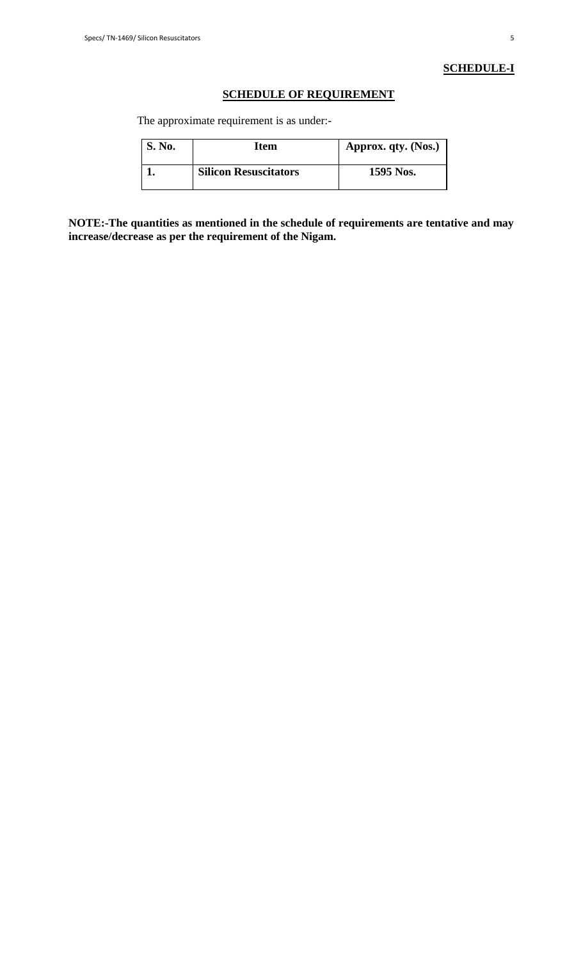## **SCHEDULE-I**

## **SCHEDULE OF REQUIREMENT**

The approximate requirement is as under:-

| <b>S. No.</b> | Item                         | Approx. qty. (Nos.) |
|---------------|------------------------------|---------------------|
|               | <b>Silicon Resuscitators</b> | 1595 Nos.           |

**NOTE:-The quantities as mentioned in the schedule of requirements are tentative and may increase/decrease as per the requirement of the Nigam.**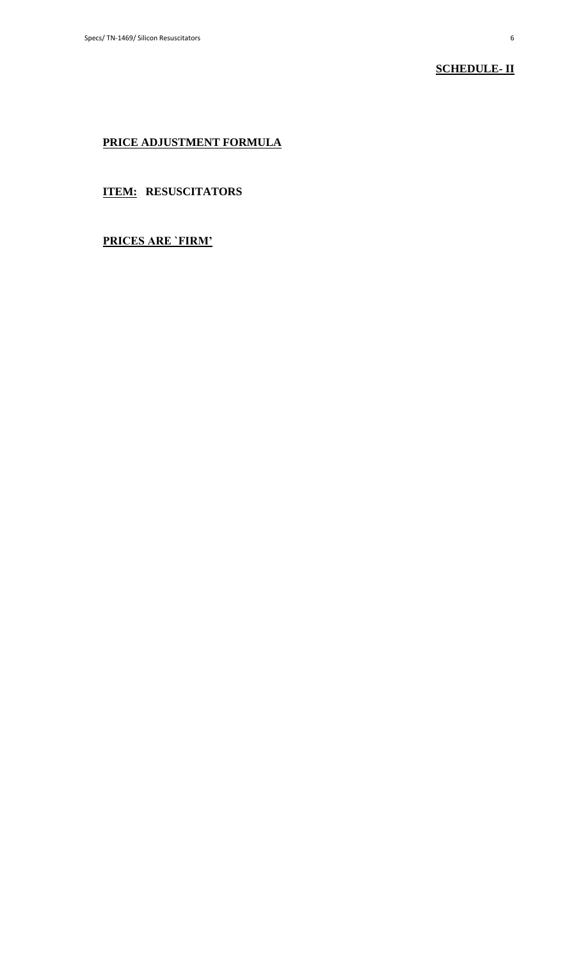## **SCHEDULE- II**

## **PRICE ADJUSTMENT FORMULA**

## **ITEM: RESUSCITATORS**

## **PRICES ARE `FIRM'**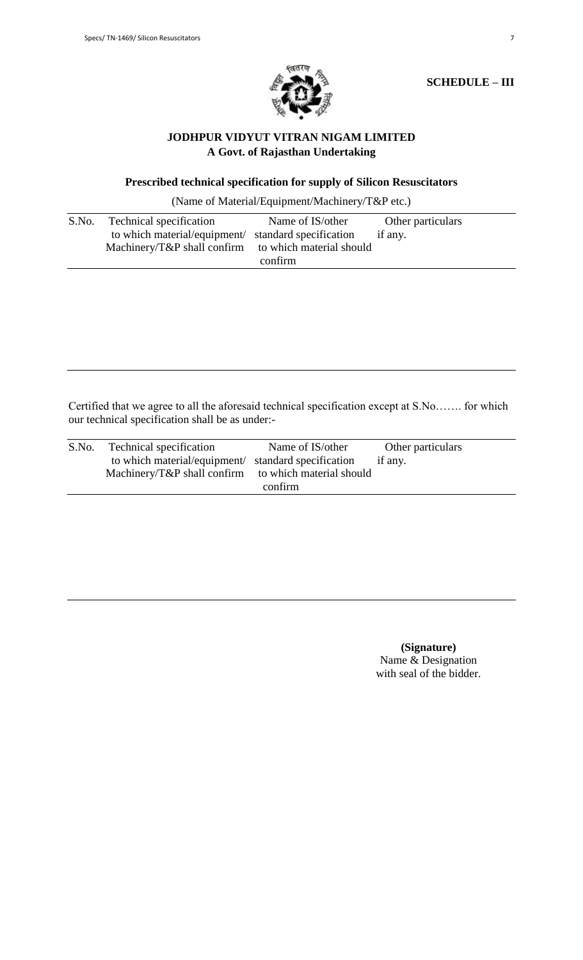

**SCHEDULE – III**

## **JODHPUR VIDYUT VITRAN NIGAM LIMITED A Govt. of Rajasthan Undertaking**

## **Prescribed technical specification for supply of Silicon Resuscitators**

(Name of Material/Equipment/Machinery/T&P etc.)

| S.No. | Technical specification                              | Name of IS/other | Other particulars |
|-------|------------------------------------------------------|------------------|-------------------|
|       | to which material/equipment/ standard specification  |                  | if any.           |
|       | Machinery/T&P shall confirm to which material should |                  |                   |
|       |                                                      | confirm          |                   |

Certified that we agree to all the aforesaid technical specification except at S.No……. for which our technical specification shall be as under:-

| S.No. | Technical specification                              | Name of IS/other | Other particulars |
|-------|------------------------------------------------------|------------------|-------------------|
|       | to which material/equipment/ standard specification  |                  | if any.           |
|       | Machinery/T&P shall confirm to which material should |                  |                   |
|       |                                                      | confirm          |                   |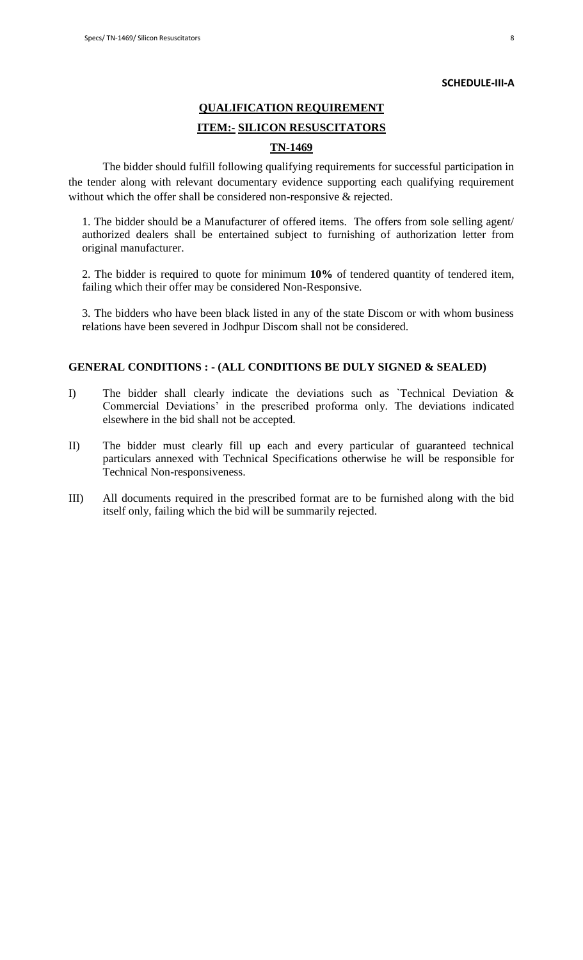#### **SCHEDULE-III-A**

# **QUALIFICATION REQUIREMENT**

## **ITEM:- SILICON RESUSCITATORS**

## **TN-1469**

The bidder should fulfill following qualifying requirements for successful participation in the tender along with relevant documentary evidence supporting each qualifying requirement without which the offer shall be considered non-responsive & rejected.

1. The bidder should be a Manufacturer of offered items. The offers from sole selling agent/ authorized dealers shall be entertained subject to furnishing of authorization letter from original manufacturer.

2. The bidder is required to quote for minimum **10%** of tendered quantity of tendered item, failing which their offer may be considered Non-Responsive.

3. The bidders who have been black listed in any of the state Discom or with whom business relations have been severed in Jodhpur Discom shall not be considered.

### **GENERAL CONDITIONS : - (ALL CONDITIONS BE DULY SIGNED & SEALED)**

- I) The bidder shall clearly indicate the deviations such as `Technical Deviation & Commercial Deviations" in the prescribed proforma only. The deviations indicated elsewhere in the bid shall not be accepted.
- II) The bidder must clearly fill up each and every particular of guaranteed technical particulars annexed with Technical Specifications otherwise he will be responsible for Technical Non-responsiveness.
- III) All documents required in the prescribed format are to be furnished along with the bid itself only, failing which the bid will be summarily rejected.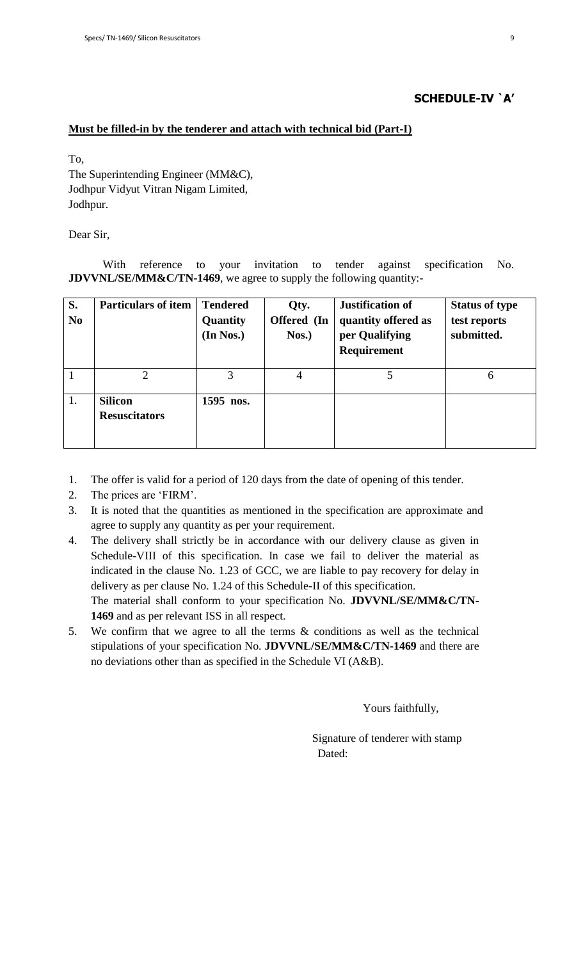### **SCHEDULE-IV `A'**

### **Must be filled-in by the tenderer and attach with technical bid (Part-I)**

To,

The Superintending Engineer (MM&C), Jodhpur Vidyut Vitran Nigam Limited, Jodhpur.

Dear Sir,

With reference to your invitation to tender against specification No. **JDVVNL/SE/MM&C/TN-1469**, we agree to supply the following quantity:-

| S.<br>N <sub>0</sub> | <b>Particulars of item</b>             | <b>Tendered</b><br>Quantity<br>(In Nos.) | Qty.<br>Offered (In<br>$N$ os.) | Justification of<br>quantity offered as<br>per Qualifying<br>Requirement | <b>Status of type</b><br>test reports<br>submitted. |
|----------------------|----------------------------------------|------------------------------------------|---------------------------------|--------------------------------------------------------------------------|-----------------------------------------------------|
|                      | $\mathcal{D}_{\cdot}$                  | 3                                        | 4                               | 5                                                                        | 6                                                   |
| 1.                   | <b>Silicon</b><br><b>Resuscitators</b> | 1595 nos.                                |                                 |                                                                          |                                                     |

1. The offer is valid for a period of 120 days from the date of opening of this tender.

2. The prices are "FIRM".

- 3. It is noted that the quantities as mentioned in the specification are approximate and agree to supply any quantity as per your requirement.
- 4. The delivery shall strictly be in accordance with our delivery clause as given in Schedule-VIII of this specification. In case we fail to deliver the material as indicated in the clause No. 1.23 of GCC, we are liable to pay recovery for delay in delivery as per clause No. 1.24 of this Schedule-II of this specification. The material shall conform to your specification No. **JDVVNL/SE/MM&C/TN-1469** and as per relevant ISS in all respect.
- 5. We confirm that we agree to all the terms & conditions as well as the technical stipulations of your specification No. **JDVVNL/SE/MM&C/TN-1469** and there are no deviations other than as specified in the Schedule VI (A&B).

Yours faithfully,

 Signature of tenderer with stamp Dated: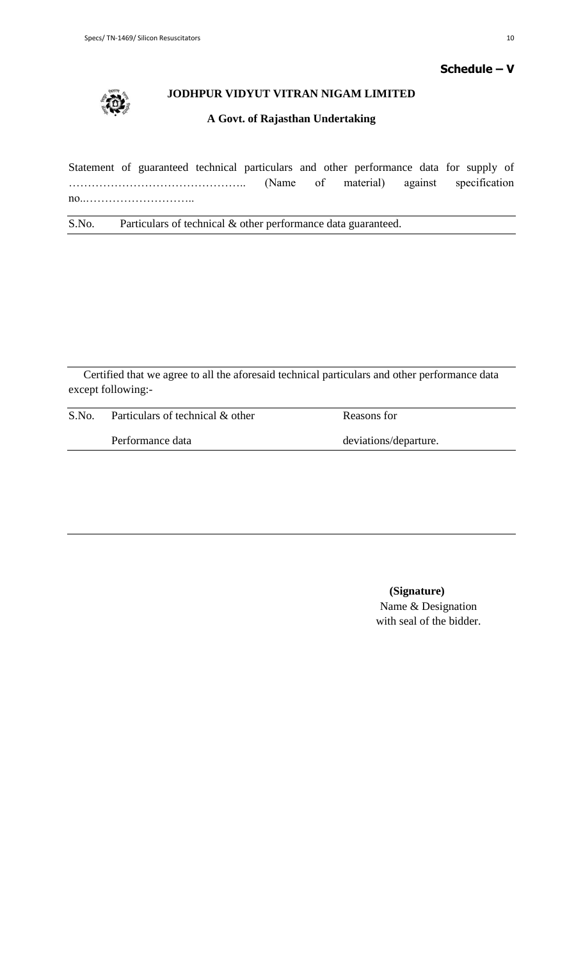

## **JODHPUR VIDYUT VITRAN NIGAM LIMITED**

## **A Govt. of Rajasthan Undertaking**

Statement of guaranteed technical particulars and other performance data for supply of ……………………………………….. (Name of material) against specification no..………………………..

S.No. Particulars of technical & other performance data guaranteed.

Certified that we agree to all the aforesaid technical particulars and other performance data except following:-

| S.No. | Particulars of technical & other | Reasons for           |  |
|-------|----------------------------------|-----------------------|--|
|       | Performance data                 | deviations/departure. |  |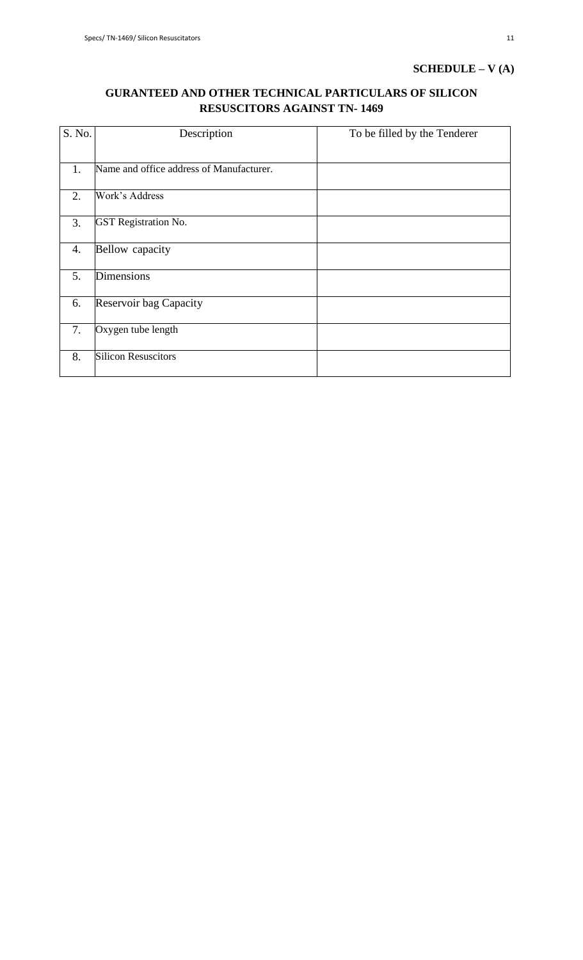## **SCHEDULE – V (A)**

## **GURANTEED AND OTHER TECHNICAL PARTICULARS OF SILICON RESUSCITORS AGAINST TN- 1469**

| S. No. | Description                              | To be filled by the Tenderer |
|--------|------------------------------------------|------------------------------|
| 1.     | Name and office address of Manufacturer. |                              |
| 2.     | Work's Address                           |                              |
| 3.     | <b>GST</b> Registration No.              |                              |
| 4.     | Bellow capacity                          |                              |
| 5.     | <b>Dimensions</b>                        |                              |
| 6.     | Reservoir bag Capacity                   |                              |
| 7.     | Oxygen tube length                       |                              |
| 8.     | <b>Silicon Resuscitors</b>               |                              |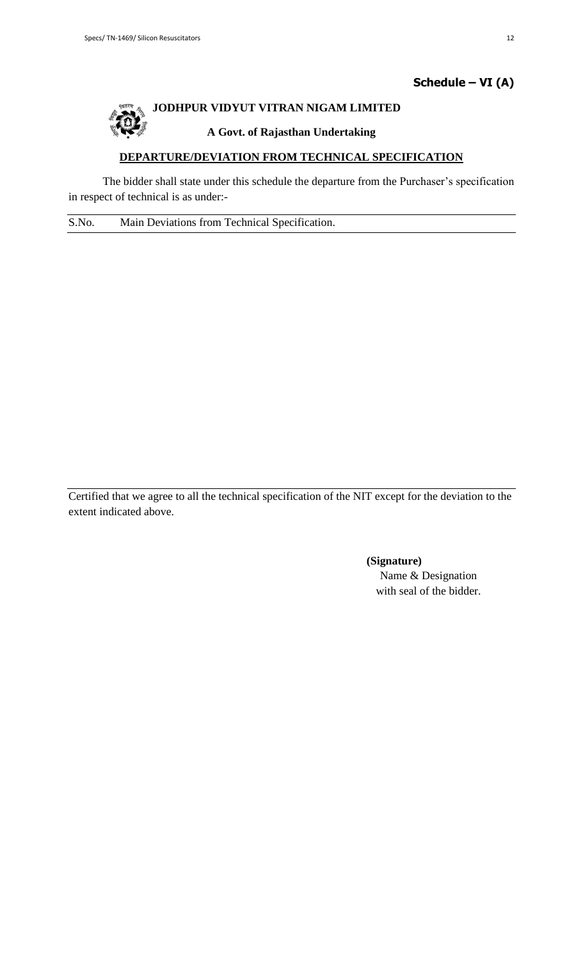## **Schedule – VI (A)**



## **JODHPUR VIDYUT VITRAN NIGAM LIMITED**

## **A Govt. of Rajasthan Undertaking**

## **DEPARTURE/DEVIATION FROM TECHNICAL SPECIFICATION**

The bidder shall state under this schedule the departure from the Purchaser's specification in respect of technical is as under:-

S.No. Main Deviations from Technical Specification.

Certified that we agree to all the technical specification of the NIT except for the deviation to the extent indicated above.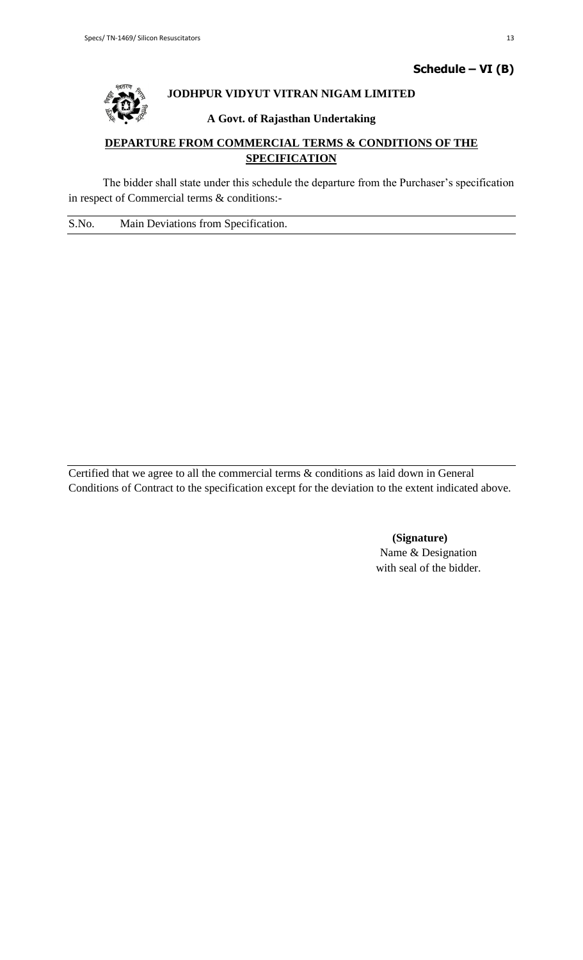

## **JODHPUR VIDYUT VITRAN NIGAM LIMITED**

## **A Govt. of Rajasthan Undertaking**

## **DEPARTURE FROM COMMERCIAL TERMS & CONDITIONS OF THE SPECIFICATION**

The bidder shall state under this schedule the departure from the Purchaser's specification in respect of Commercial terms & conditions:-

S.No. Main Deviations from Specification.

Certified that we agree to all the commercial terms & conditions as laid down in General Conditions of Contract to the specification except for the deviation to the extent indicated above.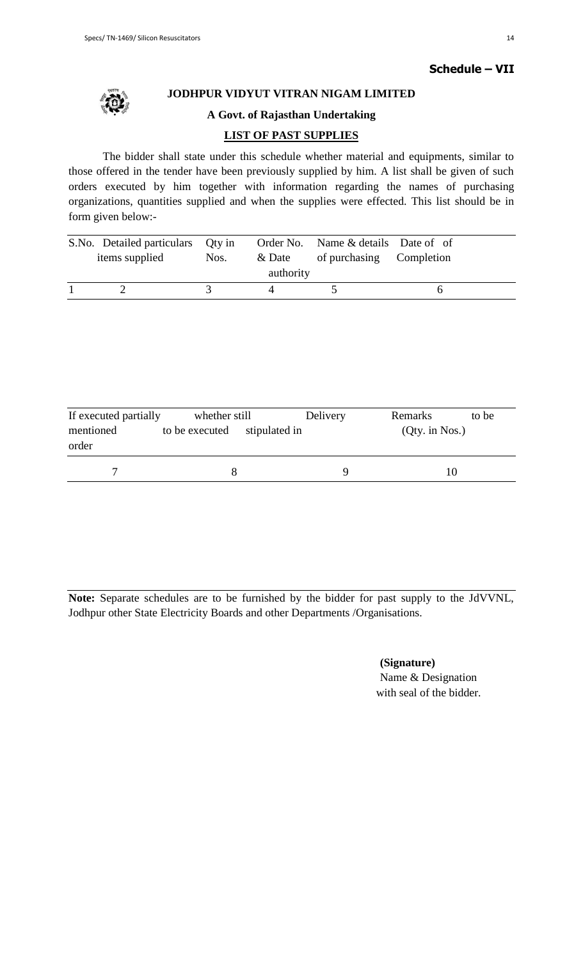

## **JODHPUR VIDYUT VITRAN NIGAM LIMITED**

## **A Govt. of Rajasthan Undertaking**

## **LIST OF PAST SUPPLIES**

The bidder shall state under this schedule whether material and equipments, similar to those offered in the tender have been previously supplied by him. A list shall be given of such orders executed by him together with information regarding the names of purchasing organizations, quantities supplied and when the supplies were effected. This list should be in form given below:-

| S.No. Detailed particulars Qty in |      |           | Order No. Name & details Date of of |  |
|-----------------------------------|------|-----------|-------------------------------------|--|
| items supplied                    | Nos. | & Date    | of purchasing Completion            |  |
|                                   |      | authority |                                     |  |
|                                   |      |           |                                     |  |

| If executed partially | whether still  |               | Delivery | Remarks          | to be |
|-----------------------|----------------|---------------|----------|------------------|-------|
| mentioned<br>order    | to be executed | stipulated in |          | $(Qty.$ in Nos.) |       |
|                       |                |               | u        |                  |       |

**Note:** Separate schedules are to be furnished by the bidder for past supply to the JdVVNL, Jodhpur other State Electricity Boards and other Departments /Organisations.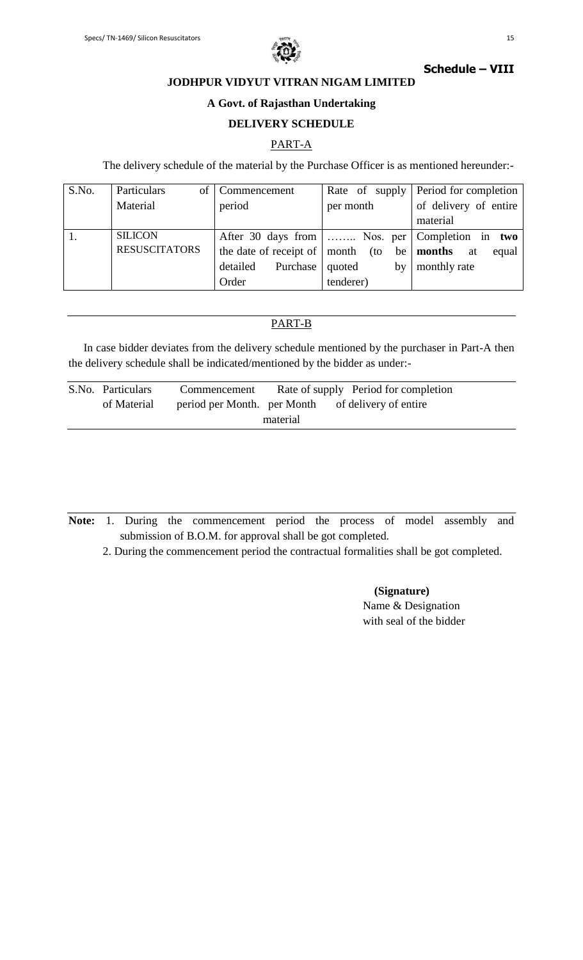

## **Schedule – VIII**

**JODHPUR VIDYUT VITRAN NIGAM LIMITED**

## **A Govt. of Rajasthan Undertaking**

### **DELIVERY SCHEDULE**

## PART-A

The delivery schedule of the material by the Purchase Officer is as mentioned hereunder:-

| S.No. | Particulars<br>of    | Commencement                             |                          | Rate of supply Period for completion |
|-------|----------------------|------------------------------------------|--------------------------|--------------------------------------|
|       | Material             | period                                   | per month                | of delivery of entire                |
|       |                      |                                          |                          | material                             |
|       | <b>SILICON</b>       | After 30 days from                       | Nos. per   Completion in | two                                  |
|       | <b>RESUSCITATORS</b> | the date of receipt of $\vert$ month (to |                          | be months<br>equal<br>at             |
|       |                      | Purchase<br>detailed                     | quoted<br>by             | monthly rate                         |
|       |                      | Order                                    | tenderer)                |                                      |

## PART-B

In case bidder deviates from the delivery schedule mentioned by the purchaser in Part-A then the delivery schedule shall be indicated/mentioned by the bidder as under:-

| S.No. Particulars | Commencement                | Rate of supply Period for completion |                       |
|-------------------|-----------------------------|--------------------------------------|-----------------------|
| of Material       | period per Month. per Month |                                      | of delivery of entire |
|                   |                             | material                             |                       |

**Note:** 1. During the commencement period the process of model assembly and submission of B.O.M. for approval shall be got completed.

2. During the commencement period the contractual formalities shall be got completed.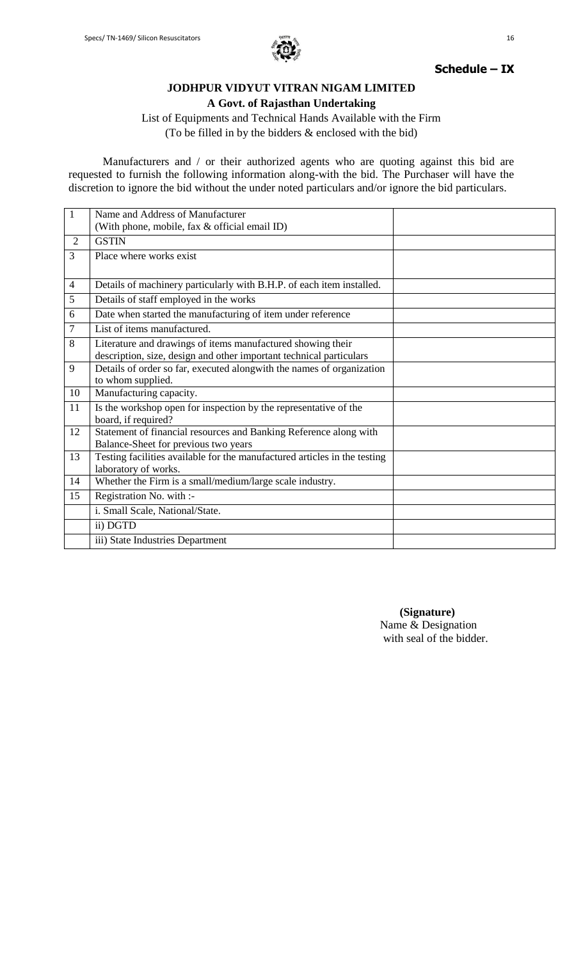

## **Schedule – IX**

## **JODHPUR VIDYUT VITRAN NIGAM LIMITED A Govt. of Rajasthan Undertaking**

List of Equipments and Technical Hands Available with the Firm (To be filled in by the bidders & enclosed with the bid)

Manufacturers and / or their authorized agents who are quoting against this bid are requested to furnish the following information along-with the bid. The Purchaser will have the discretion to ignore the bid without the under noted particulars and/or ignore the bid particulars.

| $\mathbf{1}$   | Name and Address of Manufacturer                                          |  |
|----------------|---------------------------------------------------------------------------|--|
|                | (With phone, mobile, fax & official email ID)                             |  |
| $\overline{2}$ | <b>GSTIN</b>                                                              |  |
| 3              | Place where works exist                                                   |  |
|                |                                                                           |  |
| $\overline{4}$ | Details of machinery particularly with B.H.P. of each item installed.     |  |
| 5              | Details of staff employed in the works                                    |  |
| 6              | Date when started the manufacturing of item under reference               |  |
| 7              | List of items manufactured.                                               |  |
| 8              | Literature and drawings of items manufactured showing their               |  |
|                | description, size, design and other important technical particulars       |  |
| 9              | Details of order so far, executed alongwith the names of organization     |  |
|                | to whom supplied.                                                         |  |
| 10             | Manufacturing capacity.                                                   |  |
| 11             | Is the workshop open for inspection by the representative of the          |  |
|                | board, if required?                                                       |  |
| 12             | Statement of financial resources and Banking Reference along with         |  |
|                | Balance-Sheet for previous two years                                      |  |
| 13             | Testing facilities available for the manufactured articles in the testing |  |
|                | laboratory of works.                                                      |  |
| 14             | Whether the Firm is a small/medium/large scale industry.                  |  |
| 15             | Registration No. with :-                                                  |  |
|                | i. Small Scale, National/State.                                           |  |
|                | ii) DGTD                                                                  |  |
|                | iii) State Industries Department                                          |  |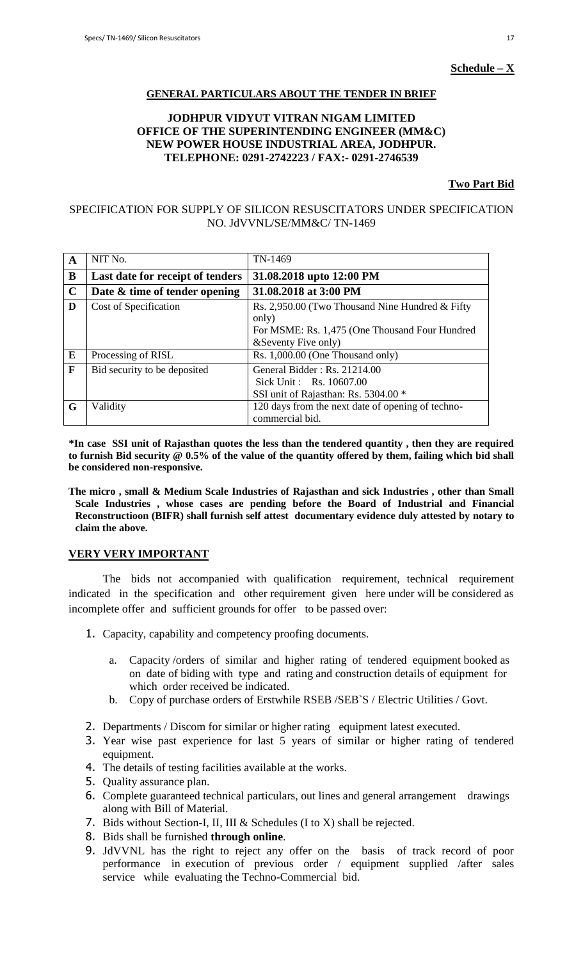### **Schedule – X**

### **GENERAL PARTICULARS ABOUT THE TENDER IN BRIEF**

### **JODHPUR VIDYUT VITRAN NIGAM LIMITED OFFICE OF THE SUPERINTENDING ENGINEER (MM&C) NEW POWER HOUSE INDUSTRIAL AREA, JODHPUR. TELEPHONE: 0291-2742223 / FAX:- 0291-2746539**

#### **Two Part Bid**

### SPECIFICATION FOR SUPPLY OF SILICON RESUSCITATORS UNDER SPECIFICATION NO. JdVVNL/SE/MM&C/ TN-1469

| $\mathbf{A}$ | NIT No.                          | TN-1469                                                                                                                             |
|--------------|----------------------------------|-------------------------------------------------------------------------------------------------------------------------------------|
| B            | Last date for receipt of tenders | 31.08.2018 upto 12:00 PM                                                                                                            |
| $\mathbf C$  | Date & time of tender opening    | 31.08.2018 at 3:00 PM                                                                                                               |
| D            | Cost of Specification            | Rs. 2,950.00 (Two Thousand Nine Hundred & Fifty)<br>only)<br>For MSME: Rs. 1,475 (One Thousand Four Hundred<br>& Seventy Five only) |
| E            | Processing of RISL               | Rs. 1,000.00 (One Thousand only)                                                                                                    |
| F            | Bid security to be deposited     | General Bidder: Rs. 21214.00<br>Sick Unit: Rs. 10607.00<br>SSI unit of Rajasthan: Rs. 5304.00 *                                     |
| G            | Validity                         | 120 days from the next date of opening of techno-<br>commercial bid.                                                                |

 **\*In case SSI unit of Rajasthan quotes the less than the tendered quantity , then they are required to furnish Bid security @ 0.5% of the value of the quantity offered by them, failing which bid shall be considered non-responsive.**

**The micro , small & Medium Scale Industries of Rajasthan and sick Industries , other than Small Scale Industries , whose cases are pending before the Board of Industrial and Financial Reconstructioon (BIFR) shall furnish self attest documentary evidence duly attested by notary to claim the above.**

### **VERY VERY IMPORTANT**

The bids not accompanied with qualification requirement, technical requirement indicated in the specification and other requirement given here under will be considered as incomplete offer and sufficient grounds for offer to be passed over:

- 1. Capacity, capability and competency proofing documents.
	- a. Capacity /orders of similar and higher rating of tendered equipment booked as on date of biding with type and rating and construction details of equipment for which order received be indicated.
	- b. Copy of purchase orders of Erstwhile RSEB /SEB`S / Electric Utilities / Govt.
- 2. Departments / Discom for similar or higher rating equipment latest executed.
- 3. Year wise past experience for last 5 years of similar or higher rating of tendered equipment.
- 4. The details of testing facilities available at the works.
- 5. Quality assurance plan.
- 6. Complete guaranteed technical particulars, out lines and general arrangement drawings along with Bill of Material.
- 7. Bids without Section-I, II, III & Schedules (I to X) shall be rejected.
- 8. Bids shall be furnished **through online**.
- 9. JdVVNL has the right to reject any offer on the basis of track record of poor performance in execution of previous order / equipment supplied /after sales service while evaluating the Techno-Commercial bid.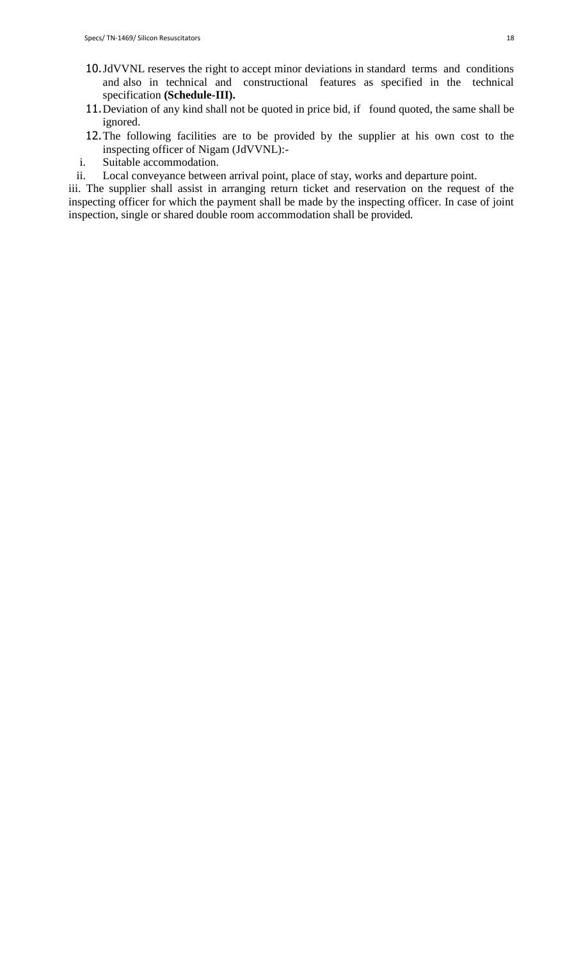- 10.JdVVNL reserves the right to accept minor deviations in standard terms and conditions and also in technical and constructional features as specified in the technical specification **(Schedule-III).**
- 11. Deviation of any kind shall not be quoted in price bid, if found quoted, the same shall be ignored.
- 12.The following facilities are to be provided by the supplier at his own cost to the inspecting officer of Nigam (JdVVNL):-
- i. Suitable accommodation.
- ii. Local conveyance between arrival point, place of stay, works and departure point.

iii. The supplier shall assist in arranging return ticket and reservation on the request of the inspecting officer for which the payment shall be made by the inspecting officer. In case of joint inspection, single or shared double room accommodation shall be provided.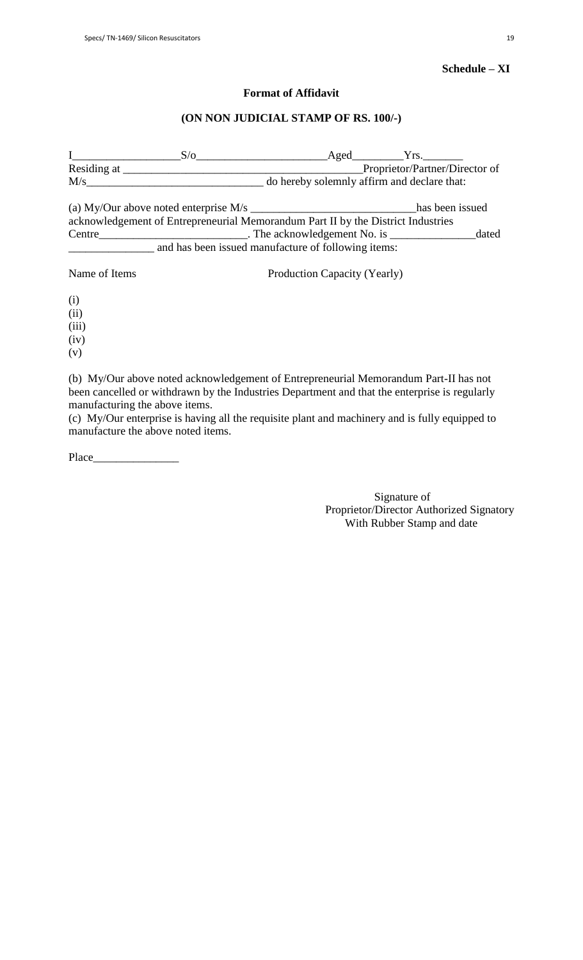## **Schedule – XI**

### **Format of Affidavit**

### **(ON NON JUDICIAL STAMP OF RS. 100/-)**

I\_\_\_\_\_\_\_\_\_\_\_\_\_\_\_\_\_\_\_S/o\_\_\_\_\_\_\_\_\_\_\_\_\_\_\_\_\_\_\_\_\_\_\_Aged\_\_\_\_\_\_\_\_\_Yrs.\_\_\_\_\_\_\_ Residing at \_\_\_\_\_\_\_\_\_\_\_\_\_\_\_\_\_\_\_\_\_\_\_\_\_\_\_\_\_\_\_\_\_\_\_\_\_\_\_\_\_\_Proprietor/Partner/Director of M/s\_\_\_\_\_\_\_\_\_\_\_\_\_\_\_\_\_\_\_\_\_\_\_\_\_\_\_\_\_\_\_ do hereby solemnly affirm and declare that: (a) My/Our above noted enterprise M/s \_\_\_\_\_\_\_\_\_\_\_\_\_\_\_\_\_\_\_\_\_\_\_\_\_\_\_\_\_has been issued acknowledgement of Entrepreneurial Memorandum Part II by the District Industries Centre\_\_\_\_\_\_\_\_\_\_\_\_\_\_\_\_\_\_\_\_\_\_\_\_\_\_. The acknowledgement No. is \_\_\_\_\_\_\_\_\_\_\_\_\_\_\_dated and has been issued manufacture of following items: Name of Items Production Capacity (Yearly) (i) (ii) (iii)

 $(iv)$ 

(v)

(b) My/Our above noted acknowledgement of Entrepreneurial Memorandum Part-II has not been cancelled or withdrawn by the Industries Department and that the enterprise is regularly manufacturing the above items.

(c) My/Our enterprise is having all the requisite plant and machinery and is fully equipped to manufacture the above noted items.

Place

 Signature of Proprietor/Director Authorized Signatory With Rubber Stamp and date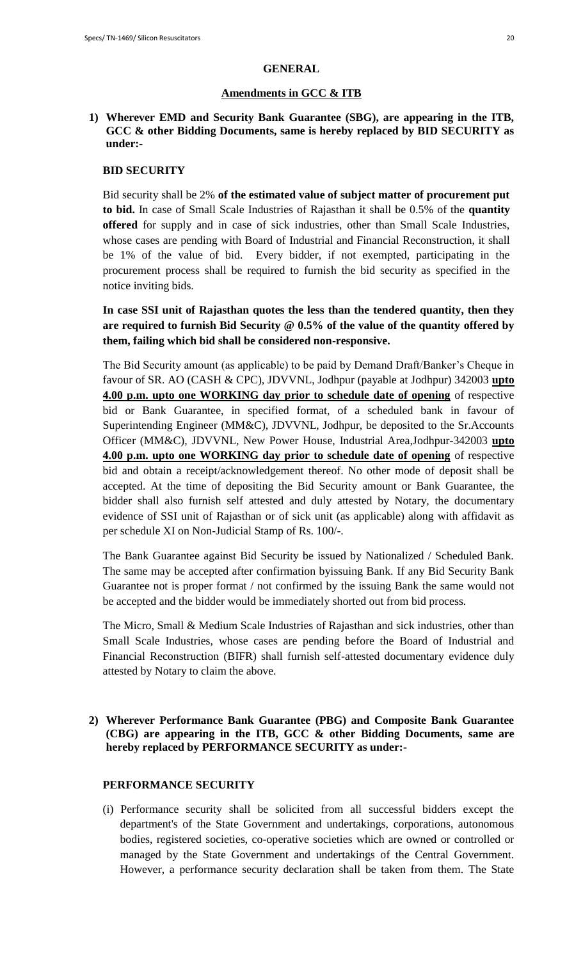### **GENERAL**

### **Amendments in GCC & ITB**

## **1) Wherever EMD and Security Bank Guarantee (SBG), are appearing in the ITB, GCC & other Bidding Documents, same is hereby replaced by BID SECURITY as under:-**

### **BID SECURITY**

Bid security shall be 2% **of the estimated value of subject matter of procurement put to bid.** In case of Small Scale Industries of Rajasthan it shall be 0.5% of the **quantity offered** for supply and in case of sick industries, other than Small Scale Industries, whose cases are pending with Board of Industrial and Financial Reconstruction, it shall be 1% of the value of bid. Every bidder, if not exempted, participating in the procurement process shall be required to furnish the bid security as specified in the notice inviting bids.

## **In case SSI unit of Rajasthan quotes the less than the tendered quantity, then they are required to furnish Bid Security @ 0.5% of the value of the quantity offered by them, failing which bid shall be considered non-responsive.**

The Bid Security amount (as applicable) to be paid by Demand Draft/Banker"s Cheque in favour of SR. AO (CASH & CPC), JDVVNL, Jodhpur (payable at Jodhpur) 342003 **upto 4.00 p.m. upto one WORKING day prior to schedule date of opening** of respective bid or Bank Guarantee, in specified format, of a scheduled bank in favour of Superintending Engineer (MM&C), JDVVNL, Jodhpur, be deposited to the Sr.Accounts Officer (MM&C), JDVVNL, New Power House, Industrial Area,Jodhpur-342003 **upto 4.00 p.m. upto one WORKING day prior to schedule date of opening** of respective bid and obtain a receipt/acknowledgement thereof. No other mode of deposit shall be accepted. At the time of depositing the Bid Security amount or Bank Guarantee, the bidder shall also furnish self attested and duly attested by Notary, the documentary evidence of SSI unit of Rajasthan or of sick unit (as applicable) along with affidavit as per schedule XI on Non-Judicial Stamp of Rs. 100/-.

The Bank Guarantee against Bid Security be issued by Nationalized / Scheduled Bank. The same may be accepted after confirmation byissuing Bank. If any Bid Security Bank Guarantee not is proper format / not confirmed by the issuing Bank the same would not be accepted and the bidder would be immediately shorted out from bid process.

The Micro, Small & Medium Scale Industries of Rajasthan and sick industries, other than Small Scale Industries, whose cases are pending before the Board of Industrial and Financial Reconstruction (BIFR) shall furnish self-attested documentary evidence duly attested by Notary to claim the above.

## **2) Wherever Performance Bank Guarantee (PBG) and Composite Bank Guarantee (CBG) are appearing in the ITB, GCC & other Bidding Documents, same are hereby replaced by PERFORMANCE SECURITY as under:-**

## **PERFORMANCE SECURITY**

(i) Performance security shall be solicited from all successful bidders except the department's of the State Government and undertakings, corporations, autonomous bodies, registered societies, co-operative societies which are owned or controlled or managed by the State Government and undertakings of the Central Government. However, a performance security declaration shall be taken from them. The State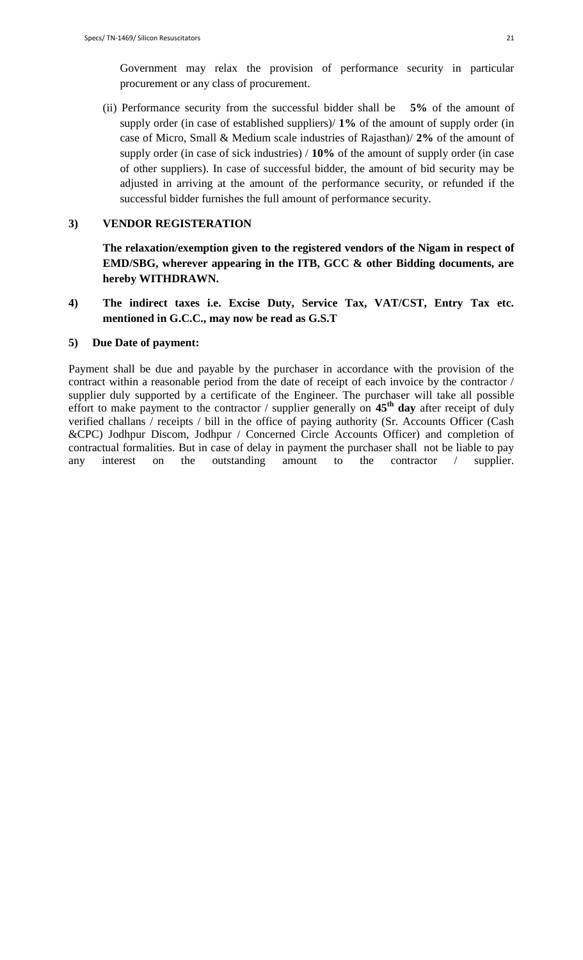Government may relax the provision of performance security in particular procurement or any class of procurement.

(ii) Performance security from the successful bidder shall be **5%** of the amount of supply order (in case of established suppliers)/ **1%** of the amount of supply order (in case of Micro, Small & Medium scale industries of Rajasthan)/ **2%** of the amount of supply order (in case of sick industries) / **10%** of the amount of supply order (in case of other suppliers). In case of successful bidder, the amount of bid security may be adjusted in arriving at the amount of the performance security, or refunded if the successful bidder furnishes the full amount of performance security.

### **3) VENDOR REGISTERATION**

**The relaxation/exemption given to the registered vendors of the Nigam in respect of EMD/SBG, wherever appearing in the ITB, GCC & other Bidding documents, are hereby WITHDRAWN.**

**4) The indirect taxes i.e. Excise Duty, Service Tax, VAT/CST, Entry Tax etc. mentioned in G.C.C., may now be read as G.S.T**

### **5) Due Date of payment:**

Payment shall be due and payable by the purchaser in accordance with the provision of the contract within a reasonable period from the date of receipt of each invoice by the contractor / supplier duly supported by a certificate of the Engineer. The purchaser will take all possible effort to make payment to the contractor / supplier generally on **45th day** after receipt of duly verified challans / receipts / bill in the office of paying authority (Sr. Accounts Officer (Cash &CPC) Jodhpur Discom, Jodhpur / Concerned Circle Accounts Officer) and completion of contractual formalities. But in case of delay in payment the purchaser shall not be liable to pay any interest on the outstanding amount to the contractor / supplier.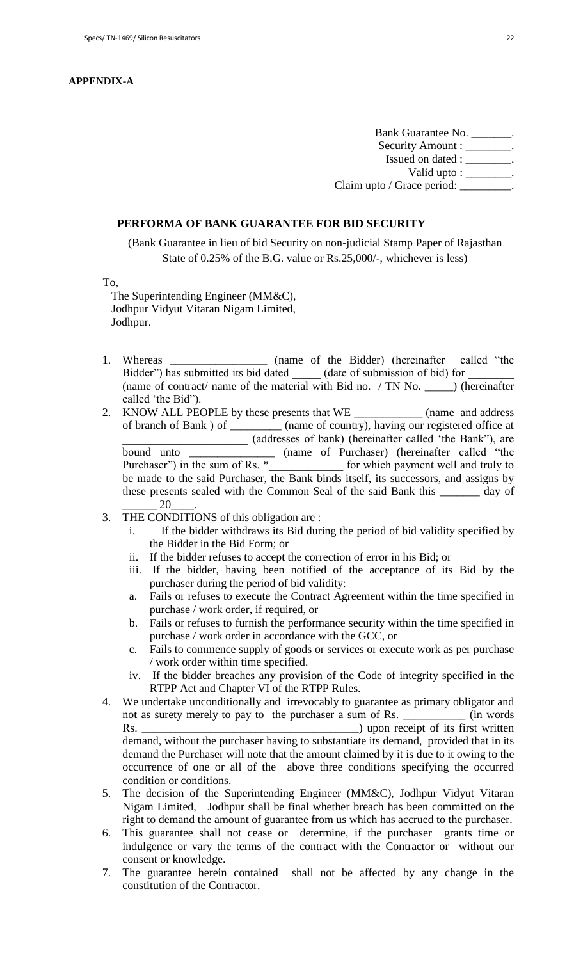### **APPENDIX-A**

Bank Guarantee No. \_\_\_\_\_\_\_. Security Amount : \_\_\_\_\_\_\_\_. Issued on dated : \_\_\_\_\_\_\_\_. Valid upto : \_\_\_\_\_\_\_\_. Claim upto / Grace period: \_\_\_\_\_\_\_\_.

### **PERFORMA OF BANK GUARANTEE FOR BID SECURITY**

(Bank Guarantee in lieu of bid Security on non-judicial Stamp Paper of Rajasthan State of 0.25% of the B.G. value or Rs.25,000/-, whichever is less)

To,

 The Superintending Engineer (MM&C), Jodhpur Vidyut Vitaran Nigam Limited, Jodhpur.

- 1. Whereas \_\_\_\_\_\_\_\_\_\_\_\_\_\_\_\_ (name of the Bidder) (hereinafter called "the Bidder") has submitted its bid dated (date of submission of bid) for (name of contract/ name of the material with Bid no. / TN No. \_\_\_\_\_) (hereinafter called "the Bid").
- 2. KNOW ALL PEOPLE by these presents that WE \_\_\_\_\_\_\_\_\_\_\_\_\_ (name and address of branch of Bank ) of \_\_\_\_\_\_\_\_\_ (name of country), having our registered office at \_\_\_\_\_\_\_\_\_\_\_\_\_\_\_\_\_\_\_\_\_\_ (addresses of bank) (hereinafter called "the Bank"), are bound unto  $\frac{1}{2}$  (name of Purchaser) (hereinafter called "the Purchaser") in the sum of Rs.  $*$  for which payment well and truly to Furthaser 1 in the sum of Rs.  $\frac{1}{2}$  for which payment well and truly to be made to the said Purchaser, the Bank binds itself, its successors, and assigns by these presents sealed with the Common Seal of the said Bank this \_\_\_\_\_\_\_ day of  $20$
- 3. THE CONDITIONS of this obligation are :
	- i. If the bidder withdraws its Bid during the period of bid validity specified by the Bidder in the Bid Form; or
	- ii. If the bidder refuses to accept the correction of error in his Bid; or
	- iii. If the bidder, having been notified of the acceptance of its Bid by the purchaser during the period of bid validity:
	- a. Fails or refuses to execute the Contract Agreement within the time specified in purchase / work order, if required, or
	- b. Fails or refuses to furnish the performance security within the time specified in purchase / work order in accordance with the GCC, or
	- c. Fails to commence supply of goods or services or execute work as per purchase / work order within time specified.
	- iv. If the bidder breaches any provision of the Code of integrity specified in the RTPP Act and Chapter VI of the RTPP Rules.
- 4. We undertake unconditionally and irrevocably to guarantee as primary obligator and not as surety merely to pay to the purchaser a sum of Rs. \_\_\_\_\_\_\_\_\_\_\_ (in words Rs. \_\_\_\_\_\_\_\_\_\_\_\_\_\_\_\_\_\_\_\_\_\_\_\_\_\_\_\_\_\_\_\_\_\_\_\_\_\_) upon receipt of its first written demand, without the purchaser having to substantiate its demand, provided that in its demand the Purchaser will note that the amount claimed by it is due to it owing to the occurrence of one or all of the above three conditions specifying the occurred condition or conditions.
- 5. The decision of the Superintending Engineer (MM&C), Jodhpur Vidyut Vitaran Nigam Limited, Jodhpur shall be final whether breach has been committed on the right to demand the amount of guarantee from us which has accrued to the purchaser.
- 6. This guarantee shall not cease or determine, if the purchaser grants time or indulgence or vary the terms of the contract with the Contractor or without our consent or knowledge.
- 7. The guarantee herein contained shall not be affected by any change in the constitution of the Contractor.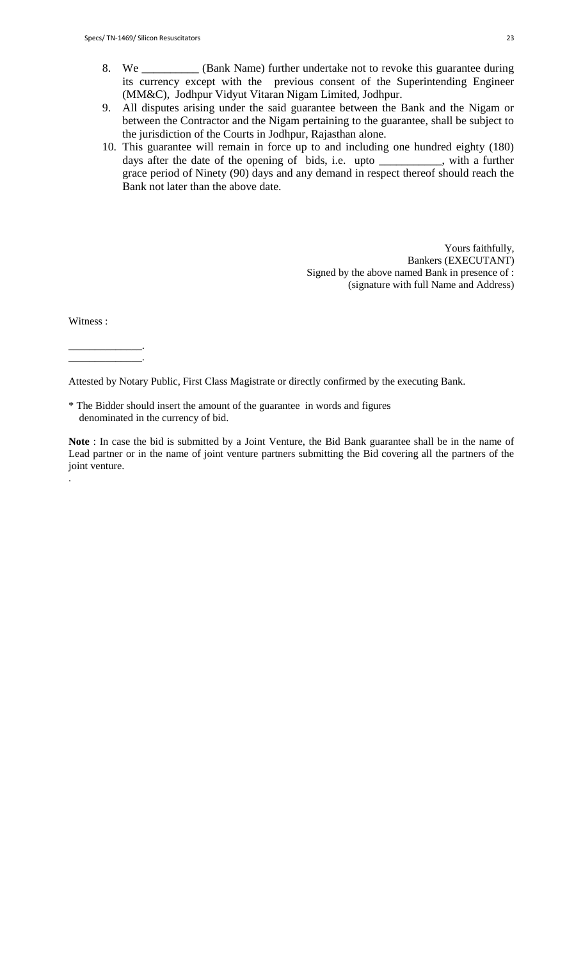- 8. We \_\_\_\_\_\_\_\_\_\_ (Bank Name) further undertake not to revoke this guarantee during its currency except with the previous consent of the Superintending Engineer (MM&C), Jodhpur Vidyut Vitaran Nigam Limited, Jodhpur.
- 9. All disputes arising under the said guarantee between the Bank and the Nigam or between the Contractor and the Nigam pertaining to the guarantee, shall be subject to the jurisdiction of the Courts in Jodhpur, Rajasthan alone.
- 10. This guarantee will remain in force up to and including one hundred eighty (180) days after the date of the opening of bids, i.e. upto \_\_\_\_\_\_\_\_\_\_\_, with a further grace period of Ninety (90) days and any demand in respect thereof should reach the Bank not later than the above date.

Yours faithfully, Bankers (EXECUTANT) Signed by the above named Bank in presence of : (signature with full Name and Address)

Witness :

.

\_\_\_\_\_\_\_\_\_\_\_\_\_\_. \_\_\_\_\_\_\_\_\_\_\_\_\_\_.

Attested by Notary Public, First Class Magistrate or directly confirmed by the executing Bank.

\* The Bidder should insert the amount of the guarantee in words and figures denominated in the currency of bid.

**Note** : In case the bid is submitted by a Joint Venture, the Bid Bank guarantee shall be in the name of Lead partner or in the name of joint venture partners submitting the Bid covering all the partners of the joint venture.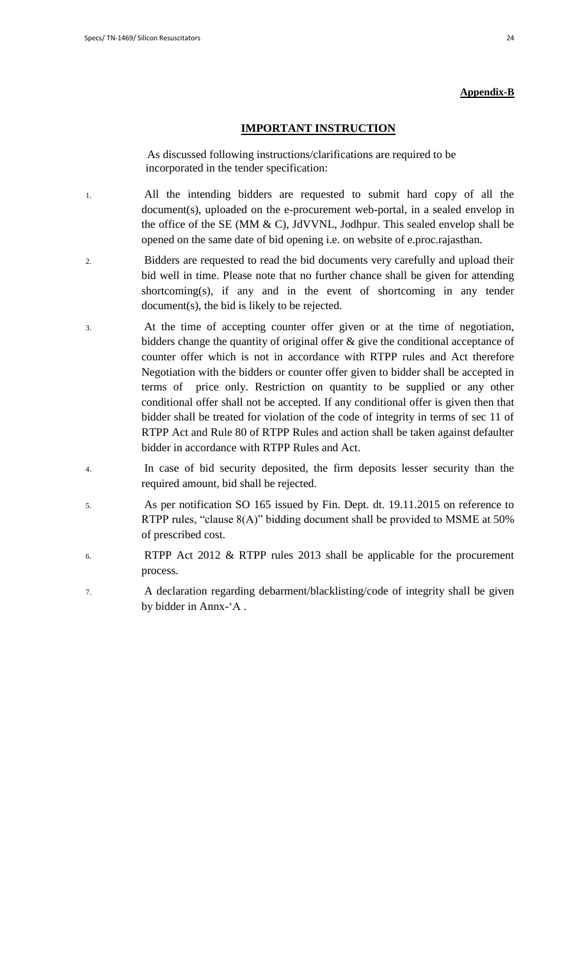#### **Appendix-B**

### **IMPORTANT INSTRUCTION**

 As discussed following instructions/clarifications are required to be incorporated in the tender specification:

- 1. All the intending bidders are requested to submit hard copy of all the document(s), uploaded on the e-procurement web-portal, in a sealed envelop in the office of the SE (MM & C), JdVVNL, Jodhpur. This sealed envelop shall be opened on the same date of bid opening i.e. on website of e.proc.rajasthan.
- 2. Bidders are requested to read the bid documents very carefully and upload their bid well in time. Please note that no further chance shall be given for attending shortcoming(s), if any and in the event of shortcoming in any tender document(s), the bid is likely to be rejected.
- 3. At the time of accepting counter offer given or at the time of negotiation, bidders change the quantity of original offer & give the conditional acceptance of counter offer which is not in accordance with RTPP rules and Act therefore Negotiation with the bidders or counter offer given to bidder shall be accepted in terms of price only. Restriction on quantity to be supplied or any other conditional offer shall not be accepted. If any conditional offer is given then that bidder shall be treated for violation of the code of integrity in terms of sec 11 of RTPP Act and Rule 80 of RTPP Rules and action shall be taken against defaulter bidder in accordance with RTPP Rules and Act.
- 4. In case of bid security deposited, the firm deposits lesser security than the required amount, bid shall be rejected.
- 5. As per notification SO 165 issued by Fin. Dept. dt. 19.11.2015 on reference to RTPP rules, "clause 8(A)" bidding document shall be provided to MSME at 50% of prescribed cost.
- 6. RTPP Act 2012 & RTPP rules 2013 shall be applicable for the procurement process.
- 7. A declaration regarding debarment/blacklisting/code of integrity shall be given by bidder in Annx-"A .